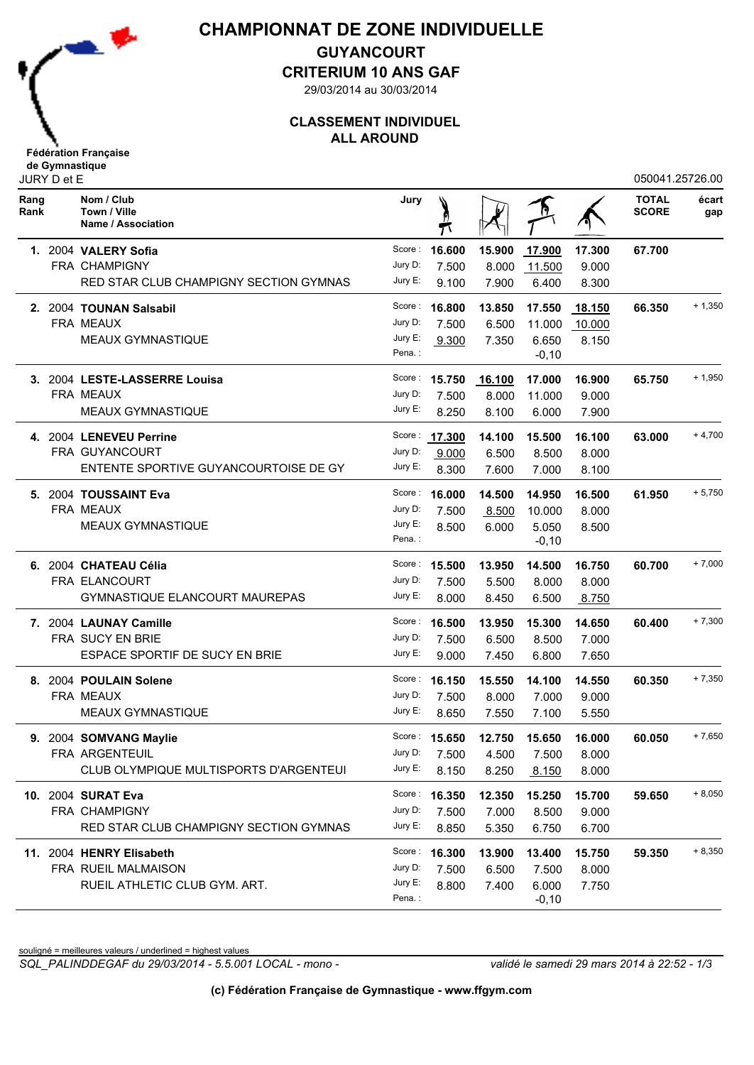

## **CHAMPIONNAT DE ZONE INDIVIDUELLE**

**GUYANCOURT**

**CRITERIUM 10 ANS GAF**

29/03/2014 au 30/03/2014

### **CLASSEMENT INDIVIDUEL ALL AROUND**

| JURY D et E  |  |                                                  |                    |               |                                   |                  |               | 050041.25726.00              |              |
|--------------|--|--------------------------------------------------|--------------------|---------------|-----------------------------------|------------------|---------------|------------------------------|--------------|
| Rang<br>Rank |  | Nom / Club<br>Town / Ville<br>Name / Association | Jury               |               |                                   |                  |               | <b>TOTAL</b><br><b>SCORE</b> | écart<br>gap |
|              |  | 1. 2004 VALERY Sofia                             |                    | Score: 16.600 | 15.900                            | 17.900           | 17.300        | 67.700                       |              |
|              |  | FRA CHAMPIGNY                                    | Jury D:            | 7.500         | 8.000                             | 11.500           | 9.000         |                              |              |
|              |  | RED STAR CLUB CHAMPIGNY SECTION GYMNAS           | Jury E:            | 9.100         | 7.900                             | 6.400            | 8.300         |                              |              |
|              |  | 2. 2004 TOUNAN Salsabil                          |                    | Score: 16.800 | 13.850                            | 17.550           | <u>18.150</u> | 66.350                       | $+1,350$     |
|              |  | FRA MEAUX                                        | Jury D:            | 7.500         | 6.500                             | 11.000           | 10.000        |                              |              |
|              |  | <b>MEAUX GYMNASTIQUE</b>                         | Jury E:            | 9.300         | 7.350                             | 6.650            | 8.150         |                              |              |
|              |  |                                                  | Pena.:             |               |                                   | $-0,10$          |               |                              |              |
|              |  | 3. 2004 LESTE-LASSERRE Louisa                    |                    | Score: 15.750 | 16.100                            | 17.000           | 16.900        | 65.750                       | $+1,950$     |
|              |  | FRA MEAUX                                        | Jury D:            | 7.500         | 8.000                             | 11.000           | 9.000         |                              |              |
|              |  | <b>MEAUX GYMNASTIQUE</b>                         | Jury E:            | 8.250         | 8.100                             | 6.000            | 7.900         |                              |              |
|              |  | 4. 2004 LENEVEU Perrine                          |                    | Score: 17.300 | 14.100                            | 15.500           | 16.100        | 63,000                       | $+4,700$     |
|              |  | FRA GUYANCOURT                                   | Jury D:            | 9.000         | 6.500                             | 8.500            | 8.000         |                              |              |
|              |  | ENTENTE SPORTIVE GUYANCOURTOISE DE GY            | Jury E:            | 8.300         | 7.600                             | 7.000            | 8.100         |                              |              |
|              |  | 5. 2004 TOUSSAINT Eva                            |                    | Score: 16.000 | 14.500                            | 14.950           | 16.500        | 61.950                       | $+5,750$     |
|              |  | FRA MEAUX                                        | Jury D:            | 7.500         | 8.500                             | 10.000           | 8.000         |                              |              |
|              |  | <b>MEAUX GYMNASTIQUE</b>                         | Jury E:<br>Pena.:  | 8.500         | 6.000                             | 5.050<br>$-0,10$ | 8.500         |                              |              |
|              |  | 6. 2004 CHATEAU Célia                            |                    | Score: 15.500 | 13.950                            | 14.500           | 16.750        | 60.700                       | $+7,000$     |
|              |  | FRA ELANCOURT                                    | Jury D:            | 7.500         | 5.500                             | 8.000            | 8.000         |                              |              |
|              |  | GYMNASTIQUE ELANCOURT MAUREPAS                   | Jury E:            | 8.000         | 8.450                             | 6.500            | 8.750         |                              |              |
|              |  |                                                  |                    |               |                                   |                  |               |                              | $+7,300$     |
|              |  | 7. 2004 LAUNAY Camille                           |                    | Score: 16.500 | 13.950                            | 15.300           | 14.650        | 60.400                       |              |
|              |  | FRA SUCY EN BRIE                                 | Jury D:<br>Jury E: | 7.500         | 6.500                             | 8.500            | 7.000         |                              |              |
|              |  | ESPACE SPORTIF DE SUCY EN BRIE                   |                    | 9.000         | 7.450                             | 6.800            | 7.650         |                              |              |
|              |  | 8. 2004 POULAIN Solene                           |                    | Score: 16.150 | 15.550                            | 14.100           | 14.550        | 60.350                       | $+7,350$     |
|              |  | FRA MEAUX                                        | Jury D:            | 7.500         | 8.000                             | 7.000            | 9.000         |                              |              |
|              |  | <b>MEAUX GYMNASTIQUE</b>                         | Jury E:            | 8.650         | 7.550                             | 7.100            | 5.550         |                              |              |
| 9.           |  | 2004 SOMVANG Maylie                              |                    |               | Score: $15.650$ $12.750$ $15.650$ |                  | 16.000        | 60.050                       | $+7,650$     |
|              |  | FRA ARGENTEUIL                                   | Jury D:            | 7.500         | 4.500                             | 7.500            | 8.000         |                              |              |
|              |  | CLUB OLYMPIQUE MULTISPORTS D'ARGENTEUI           | Jury E:            | 8.150         | 8.250                             | 8.150            | 8.000         |                              |              |
|              |  | 10. 2004 SURAT Eva                               |                    | Score: 16.350 | 12.350                            | 15.250           | 15.700        | 59.650                       | $+8,050$     |
|              |  | <b>FRA CHAMPIGNY</b>                             | Jury D:            | 7.500         | 7.000                             | 8.500            | 9.000         |                              |              |
|              |  | RED STAR CLUB CHAMPIGNY SECTION GYMNAS           | Jury E:            | 8.850         | 5.350                             | 6.750            | 6.700         |                              |              |
|              |  | 11. 2004 HENRY Elisabeth                         |                    | Score: 16.300 | 13.900                            | 13.400           | 15.750        | 59.350                       | $+8,350$     |
|              |  | FRA RUEIL MALMAISON                              | Jury D:            | 7.500         | 6.500                             | 7.500            | 8.000         |                              |              |
|              |  | RUEIL ATHLETIC CLUB GYM. ART.                    | Jury E:            | 8.800         | 7.400                             | 6.000            | 7.750         |                              |              |
|              |  |                                                  | Pena.:             |               |                                   | $-0,10$          |               |                              |              |

souligné = meilleures valeurs / underlined = highest values

*SQL\_PALINDDEGAF du 29/03/2014 - 5.5.001 LOCAL - mono - validé le samedi 29 mars 2014 à 22:52 - 1/3*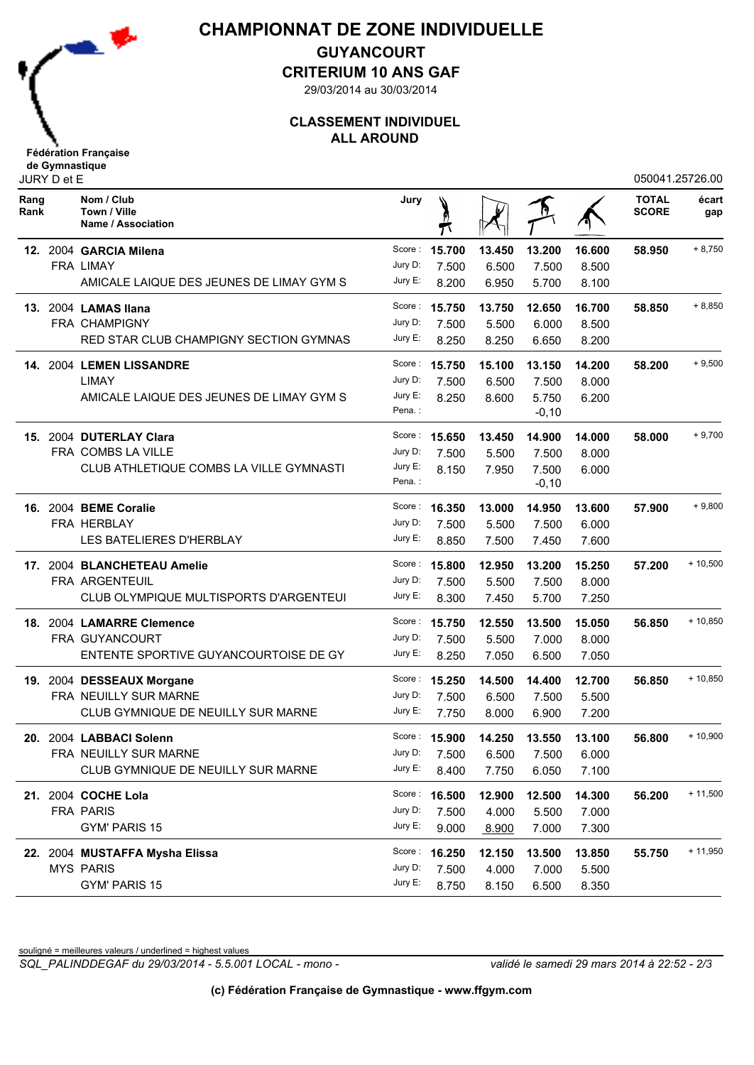

## **CHAMPIONNAT DE ZONE INDIVIDUELLE**

**GUYANCOURT**

**CRITERIUM 10 ANS GAF**

29/03/2014 au 30/03/2014

### **CLASSEMENT INDIVIDUEL ALL AROUND**

| JURY D et E  |  |                                                  |         |               |        |          | 050041.25726.00 |                              |              |
|--------------|--|--------------------------------------------------|---------|---------------|--------|----------|-----------------|------------------------------|--------------|
| Rang<br>Rank |  | Nom / Club<br>Town / Ville<br>Name / Association | Jury    |               |        |          |                 | <b>TOTAL</b><br><b>SCORE</b> | écart<br>gap |
|              |  | 12. 2004 GARCIA Milena                           | Score : | 15.700        | 13.450 | 13.200   | 16.600          | 58.950                       | $+8,750$     |
|              |  | <b>FRA LIMAY</b>                                 | Jury D: | 7.500         | 6.500  | 7.500    | 8.500           |                              |              |
|              |  | AMICALE LAIQUE DES JEUNES DE LIMAY GYM S         | Jury E: | 8.200         | 6.950  | 5.700    | 8.100           |                              |              |
|              |  | 13. 2004 LAMAS Ilana                             |         | Score: 15.750 | 13.750 | 12.650   | 16.700          | 58.850                       | $+8,850$     |
|              |  | FRA CHAMPIGNY                                    | Jury D: | 7.500         | 5.500  | 6.000    | 8.500           |                              |              |
|              |  | RED STAR CLUB CHAMPIGNY SECTION GYMNAS           | Jury E: | 8.250         | 8.250  | 6.650    | 8.200           |                              |              |
|              |  | 14. 2004 LEMEN LISSANDRE                         |         | Score: 15.750 | 15.100 | 13.150   | 14.200          | 58.200                       | $+9,500$     |
|              |  | LIMAY                                            | Jury D: | 7.500         | 6.500  | 7.500    | 8.000           |                              |              |
|              |  | AMICALE LAIQUE DES JEUNES DE LIMAY GYM S         | Jury E: | 8.250         | 8.600  | 5.750    | 6.200           |                              |              |
|              |  |                                                  | Pena.:  |               |        | $-0,10$  |                 |                              |              |
| 15.          |  | 2004 DUTERLAY Clara                              | Score : | 15.650        | 13.450 | 14.900   | 14.000          | 58,000                       | $+9,700$     |
|              |  | FRA COMBS LA VILLE                               | Jury D: | 7.500         | 5.500  | 7.500    | 8.000           |                              |              |
|              |  | CLUB ATHLETIQUE COMBS LA VILLE GYMNASTI          | Jury E: | 8.150         | 7.950  | 7.500    | 6.000           |                              |              |
|              |  |                                                  | Pena.:  |               |        | $-0, 10$ |                 |                              |              |
|              |  | 16. 2004 BEME Coralie                            | Score:  | 16.350        | 13.000 | 14.950   | 13.600          | 57.900                       | $+9,800$     |
|              |  | FRA HERBLAY                                      | Jury D: | 7.500         | 5.500  | 7.500    | 6.000           |                              |              |
|              |  | LES BATELIERES D'HERBLAY                         | Jury E: | 8.850         | 7.500  | 7.450    | 7.600           |                              |              |
|              |  | 17. 2004 BLANCHETEAU Amelie                      | Score : | 15.800        | 12.950 | 13.200   | 15.250          | 57.200                       | $+10,500$    |
|              |  | FRA ARGENTEUIL                                   | Jury D: | 7.500         | 5.500  | 7.500    | 8.000           |                              |              |
|              |  | CLUB OLYMPIQUE MULTISPORTS D'ARGENTEUI           | Jury E: | 8.300         | 7.450  | 5.700    | 7.250           |                              |              |
| 18.          |  | 2004 LAMARRE Clemence                            |         | Score: 15.750 | 12.550 | 13.500   | 15.050          | 56.850                       | $+10,850$    |
|              |  | FRA GUYANCOURT                                   | Jury D: | 7.500         | 5.500  | 7.000    | 8.000           |                              |              |
|              |  | ENTENTE SPORTIVE GUYANCOURTOISE DE GY            | Jury E: | 8.250         | 7.050  | 6.500    | 7.050           |                              |              |
|              |  | 19. 2004 DESSEAUX Morgane                        |         | Score: 15.250 | 14.500 | 14.400   | 12.700          | 56.850                       | $+10,850$    |
|              |  | FRA NEUILLY SUR MARNE                            | Jury D: | 7.500         | 6.500  | 7.500    | 5.500           |                              |              |
|              |  | CLUB GYMNIQUE DE NEUILLY SUR MARNE               | Jury E: | 7.750         | 8.000  | 6.900    | 7.200           |                              |              |
|              |  | 20. 2004 LABBACI Solenn                          |         | Score: 15.900 |        |          | 13.100          | 56.800                       | $+10,900$    |
|              |  | FRA NEUILLY SUR MARNE                            | Jury D: | 7.500         | 6.500  | 7.500    | 6.000           |                              |              |
|              |  | CLUB GYMNIQUE DE NEUILLY SUR MARNE               | Jury E: | 8.400         | 7.750  | 6.050    | 7.100           |                              |              |
|              |  | 21. 2004 COCHE Lola                              |         | Score: 16.500 | 12.900 | 12.500   | 14.300          | 56.200                       | $+11,500$    |
|              |  | FRA PARIS                                        | Jury D: | 7.500         | 4.000  | 5.500    | 7.000           |                              |              |
|              |  | <b>GYM' PARIS 15</b>                             | Jury E: | 9.000         | 8.900  | 7.000    | 7.300           |                              |              |
|              |  | 22. 2004 MUSTAFFA Mysha Elissa                   |         | Score: 16.250 | 12.150 | 13.500   | 13.850          | 55.750                       | $+11,950$    |
|              |  | <b>MYS PARIS</b>                                 | Jury D: | 7.500         | 4.000  | 7.000    | 5.500           |                              |              |
|              |  | GYM' PARIS 15                                    | Jury E: | 8.750         | 8.150  | 6.500    | 8.350           |                              |              |

souligné = meilleures valeurs / underlined = highest values

*SQL\_PALINDDEGAF du 29/03/2014 - 5.5.001 LOCAL - mono - validé le samedi 29 mars 2014 à 22:52 - 2/3*